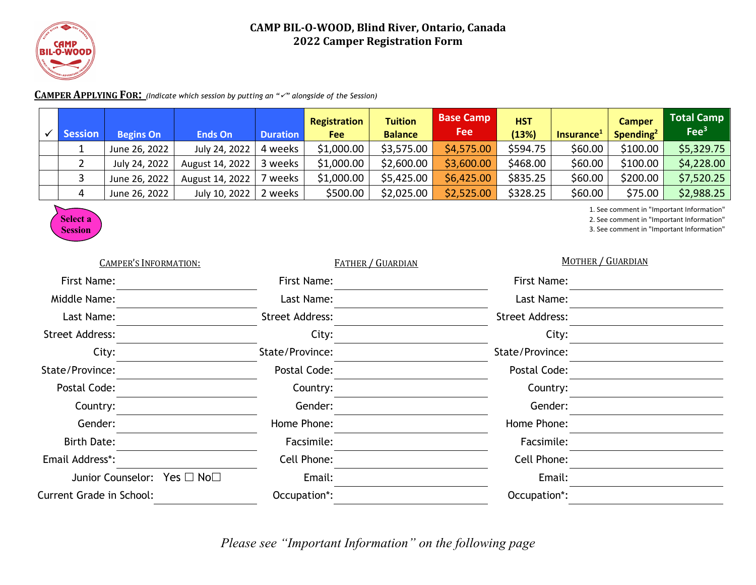

## **CAMP BIL-O-WOOD, Blind River, Ontario, Canada 2022 Camper Registration Form**

## **CAMPER APPLYING FOR**: *(Indicate which session by putting an* "v" alongside of the Session)

|  | <b>Session</b> | <b>Begins On</b> | <b>Ends On</b>  | <b>Duration</b> | Registration<br>Fee | <b>Tuition</b><br><b>Balance</b> | <b>Base Camp</b><br><b>Fee</b> | <b>HST</b><br>(13%) | Insurance <sup>1</sup> | <b>Camper</b><br>Spending <sup>2</sup> | <b>Total Camp</b><br>Fee <sup>3</sup> |
|--|----------------|------------------|-----------------|-----------------|---------------------|----------------------------------|--------------------------------|---------------------|------------------------|----------------------------------------|---------------------------------------|
|  |                | June 26, 2022    | July 24, 2022   | 4 weeks         | \$1,000.00          | \$3,575.00                       | \$4,575.00                     | \$594.75            | \$60.00                | \$100.00                               | \$5,329.75                            |
|  |                | July 24, 2022    | August 14, 2022 | 3 weeks         | \$1,000.00          | \$2,600.00                       | \$3,600.00                     | \$468.00            | \$60.00                | \$100.00                               | \$4,228.00                            |
|  |                | June 26, 2022    | August 14, 2022 | ' weeks         | \$1,000.00          | \$5,425.00                       | \$6,425.00                     | \$835.25            | \$60.00                | \$200.00                               | \$7,520.25                            |
|  |                | June 26, 2022    | July 10, 2022   | 2 weeks         | \$500.00            | \$2,025.00                       | \$2,525.00                     | \$328.25            | \$60.00                | \$75.00                                | \$2,988.25                            |



1. See comment in "Important Information"

2. See comment in "Important Information"

3. See comment in "Important Information"

| <b>CAMPER'S INFORMATION:</b>    | <b>FATHER / GUARDIAN</b> | <b>MOTHER / GUARDIAN</b> |  |  |
|---------------------------------|--------------------------|--------------------------|--|--|
| First Name:                     | First Name:              | First Name:              |  |  |
| Middle Name:                    | Last Name:               | Last Name:               |  |  |
| Last Name:                      | <b>Street Address:</b>   | <b>Street Address:</b>   |  |  |
| <b>Street Address:</b>          | City:                    | City:                    |  |  |
| City:                           | State/Province:          | State/Province:          |  |  |
| State/Province:                 | Postal Code:             | Postal Code:             |  |  |
| Postal Code:                    | Country:                 | Country:                 |  |  |
| Country:                        | Gender:                  | Gender:                  |  |  |
| Gender:                         | Home Phone:              | Home Phone:              |  |  |
| <b>Birth Date:</b>              | Facsimile:               | Facsimile:               |  |  |
| Email Address*:                 | Cell Phone:              | Cell Phone:              |  |  |
| Junior Counselor: Yes □ No□     | Email:                   | Email:                   |  |  |
| <b>Current Grade in School:</b> | Occupation*:             | Occupation*:             |  |  |
|                                 |                          |                          |  |  |

*Please see "Important Information" on the following page*